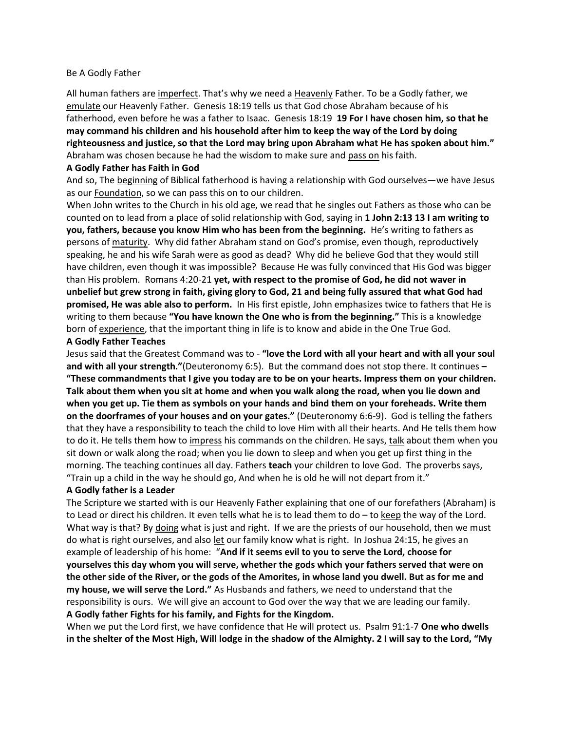#### Be A Godly Father

All human fathers are imperfect. That's why we need a Heavenly Father. To be a Godly father, we emulate our Heavenly Father. Genesis 18:19 tells us that God chose Abraham because of his fatherhood, even before he was a father to Isaac. Genesis 18:19 **19 For I have chosen him, so that he may command his children and his household after him to keep the way of the Lord by doing righteousness and justice, so that the Lord may bring upon Abraham what He has spoken about him."**  Abraham was chosen because he had the wisdom to make sure and pass on his faith.

### **A Godly Father has Faith in God**

And so, The beginning of Biblical fatherhood is having a relationship with God ourselves—we have Jesus as our Foundation, so we can pass this on to our children.

When John writes to the Church in his old age, we read that he singles out Fathers as those who can be counted on to lead from a place of solid relationship with God, saying in **1 John 2:13 13 I am writing to you, fathers, because you know Him who has been from the beginning.** He's writing to fathers as persons of maturity. Why did father Abraham stand on God's promise, even though, reproductively speaking, he and his wife Sarah were as good as dead? Why did he believe God that they would still have children, even though it was impossible? Because He was fully convinced that His God was bigger than His problem. Romans 4:20-21 **yet, with respect to the promise of God, he did not waver in unbelief but grew strong in faith, giving glory to God, 21 and being fully assured that what God had promised, He was able also to perform.** In His first epistle, John emphasizes twice to fathers that He is writing to them because **"You have known the One who is from the beginning."** This is a knowledge born of experience, that the important thing in life is to know and abide in the One True God.

# **A Godly Father Teaches**

Jesus said that the Greatest Command was to - **"love the Lord with all your heart and with all your soul and with all your strength."**(Deuteronomy 6:5). But the command does not stop there. It continues **– "These commandments that I give you today are to be on your hearts. Impress them on your children. Talk about them when you sit at home and when you walk along the road, when you lie down and when you get up. Tie them as symbols on your hands and bind them on your foreheads. Write them on the doorframes of your houses and on your gates."** (Deuteronomy 6:6-9). God is telling the fathers that they have a responsibility to teach the child to love Him with all their hearts. And He tells them how to do it. He tells them how to impress his commands on the children. He says, talk about them when you sit down or walk along the road; when you lie down to sleep and when you get up first thing in the morning. The teaching continues all day. Fathers **teach** your children to love God. The proverbs says, "Train up a child in the way he should go, And when he is old he will not depart from it."

# **A Godly father is a Leader**

The Scripture we started with is our Heavenly Father explaining that one of our forefathers (Abraham) is to Lead or direct his children. It even tells what he is to lead them to do – to keep the way of the Lord. What way is that? By doing what is just and right. If we are the priests of our household, then we must do what is right ourselves, and also let our family know what is right. In Joshua 24:15, he gives an example of leadership of his home: "**And if it seems evil to you to serve the Lord, choose for yourselves this day whom you will serve, whether the gods which your fathers served that were on the other side of the River, or the gods of the Amorites, in whose land you dwell. But as for me and my house, we will serve the Lord."** As Husbands and fathers, we need to understand that the responsibility is ours. We will give an account to God over the way that we are leading our family. **A Godly father Fights for his family, and Fights for the Kingdom.**

When we put the Lord first, we have confidence that He will protect us. Psalm 91:1-7 **One who dwells in the shelter of the Most High, Will lodge in the shadow of the Almighty. 2 I will say to the Lord, "My**